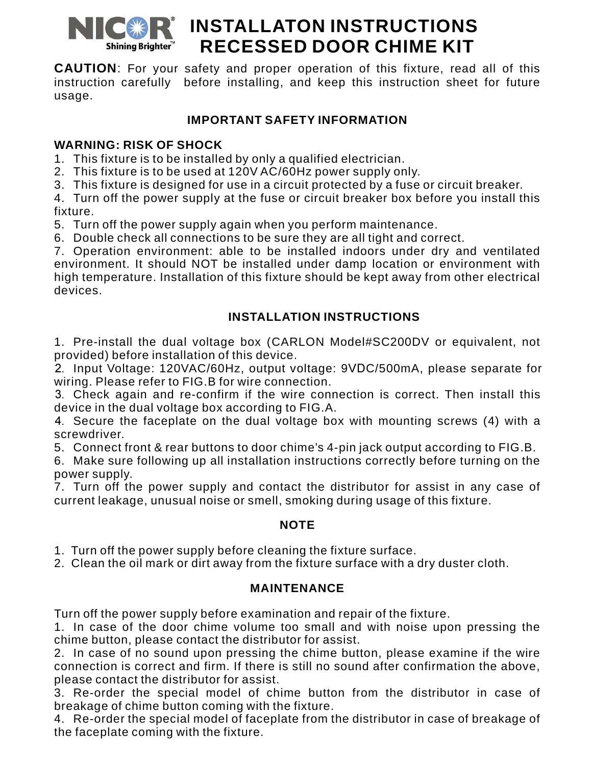

# **NICOR** INSTALLATON INSTRUCTIONS **RECESSED DOOR CHIME KIT**

**CAUTION**: For your safety and proper operation of this fixture, read all of this instruction carefully before installing, and keep this instruction sheet for future usage.

## **IMPORTANT SAFETY INFORMATION**

## **WARNING: RISK OF SHOCK**

1. This fixture is to be installed by only a qualified electrician.

2. This fixture is to be used at 120V AC/60Hz power supply only.

3. This fixture is designed for use in a circuit protected by a fuse or circuit breaker.

4. Turn off the power supply at the fuse or circuit breaker box before you install this fixture.

5. Turn off the power supply again when you perform maintenance.

6. Double check all connections to be sure they are all tight and correct.

7. Operation environment: able to be installed indoors under dry and ventilated environment. It should NOT be installed under damp location or environment with high temperature. Installation of this fixture should be kept away from other electrical devices.

# **INSTALLATION INSTRUCTIONS**

1. Pre-install the dual voltage box (CARLON Model#SC200DV or equivalent, not provided) before installation of this device.

2. Input Voltage: 120VAC/60Hz, output voltage: 9VDC/500mA, please separate for wiring. Please refer to FIG.B for wire connection.

3. Check again and re-confirm if the wire connection is correct. Then install this device in the dual voltage box according to FIG.A.

4. Secure the faceplate on the dual voltage box with mounting screws (4) with a screwdriver.

5. Connect front & rear buttons to door chime's 4-pin jack output according to FIG.B.

6. Make sure following up all installation instructions correctly before turning on the power supply.

7. Turn off the power supply and contact the distributor for assist in any case of current leakage, unusual noise or smell, smoking during usage of this fixture.

#### **NOTE**

1. Turn off the power supply before cleaning the fixture surface.

2. Clean the oil mark or dirt away from the fixture surface with a dry duster cloth.

#### **MAINTENANCE**

Turn off the power supply before examination and repair of the fixture.

1. In case of the door chime volume too small and with noise upon pressing the chime button, please contact the distributor for assist.

2. In case of no sound upon pressing the chime button, please examine if the wire connection is correct and firm. If there is still no sound after confirmation the above, please contact the distributor for assist.

3. Re-order the special model of chime button from the distributor in case of breakage of chime button coming with the fixture.

4. Re-order the special model of faceplate from the distributor in case of breakage of the faceplate coming with the fixture.